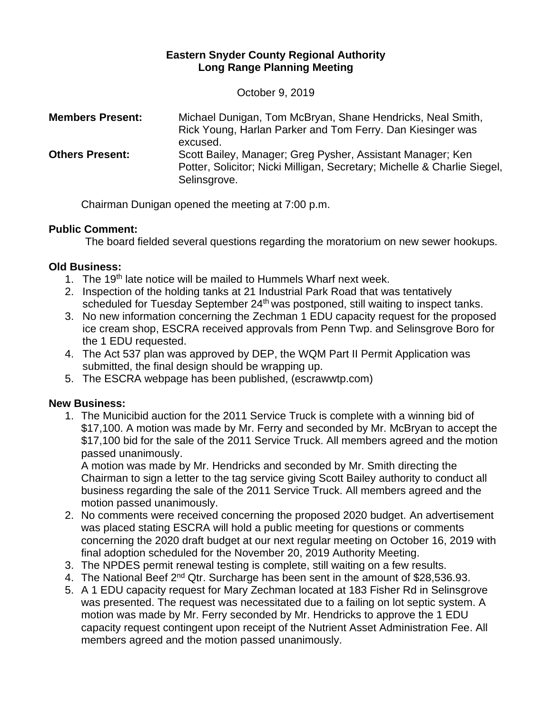### **Eastern Snyder County Regional Authority Long Range Planning Meeting**

October 9, 2019

| <b>Members Present:</b> | Michael Dunigan, Tom McBryan, Shane Hendricks, Neal Smith,<br>Rick Young, Harlan Parker and Tom Ferry. Dan Kiesinger was<br>excused.                   |
|-------------------------|--------------------------------------------------------------------------------------------------------------------------------------------------------|
| <b>Others Present:</b>  | Scott Bailey, Manager; Greg Pysher, Assistant Manager; Ken<br>Potter, Solicitor; Nicki Milligan, Secretary; Michelle & Charlie Siegel,<br>Selinsgrove. |

Chairman Dunigan opened the meeting at 7:00 p.m.

#### **Public Comment:**

The board fielded several questions regarding the moratorium on new sewer hookups.

# **Old Business:**

- 1. The 19<sup>th</sup> late notice will be mailed to Hummels Wharf next week.
- 2. Inspection of the holding tanks at 21 Industrial Park Road that was tentatively scheduled for Tuesday September 24<sup>th</sup> was postponed, still waiting to inspect tanks.
- 3. No new information concerning the Zechman 1 EDU capacity request for the proposed ice cream shop, ESCRA received approvals from Penn Twp. and Selinsgrove Boro for the 1 EDU requested.
- 4. The Act 537 plan was approved by DEP, the WQM Part II Permit Application was submitted, the final design should be wrapping up.
- 5. The ESCRA webpage has been published, (escrawwtp.com)

# **New Business:**

1. The Municibid auction for the 2011 Service Truck is complete with a winning bid of \$17,100. A motion was made by Mr. Ferry and seconded by Mr. McBryan to accept the \$17,100 bid for the sale of the 2011 Service Truck. All members agreed and the motion passed unanimously.

A motion was made by Mr. Hendricks and seconded by Mr. Smith directing the Chairman to sign a letter to the tag service giving Scott Bailey authority to conduct all business regarding the sale of the 2011 Service Truck. All members agreed and the motion passed unanimously.

- 2. No comments were received concerning the proposed 2020 budget. An advertisement was placed stating ESCRA will hold a public meeting for questions or comments concerning the 2020 draft budget at our next regular meeting on October 16, 2019 with final adoption scheduled for the November 20, 2019 Authority Meeting.
- 3. The NPDES permit renewal testing is complete, still waiting on a few results.
- 4. The National Beef 2<sup>nd</sup> Qtr. Surcharge has been sent in the amount of \$28,536.93.
- 5. A 1 EDU capacity request for Mary Zechman located at 183 Fisher Rd in Selinsgrove was presented. The request was necessitated due to a failing on lot septic system. A motion was made by Mr. Ferry seconded by Mr. Hendricks to approve the 1 EDU capacity request contingent upon receipt of the Nutrient Asset Administration Fee. All members agreed and the motion passed unanimously.